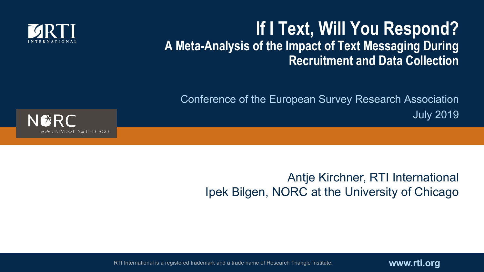

#### **If I Text, Will You Respond? A Meta-Analysis of the Impact of Text Messaging During Recruitment and Data Collection**

Conference of the European Survey Research Association July 2019



#### Antje Kirchner, RTI International Ipek Bilgen, NORC at the University of Chicago

RTI International is a registered trademark and a trade name of Research Triangle Institute. **WWW.rti.org**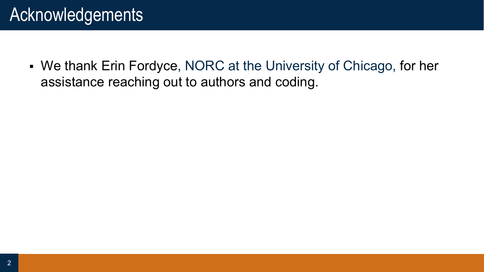## Acknowledgements

• We thank Erin Fordyce, NORC at the University of Chicago, for her assistance reaching out to authors and coding.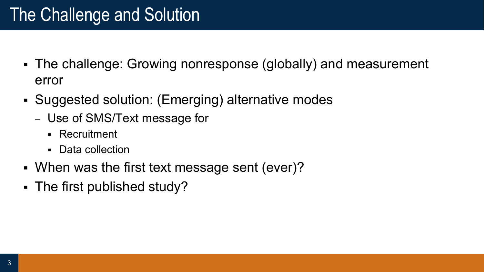# The Challenge and Solution

- The challenge: Growing nonresponse (globally) and measurement error
- § Suggested solution: (Emerging) alternative modes
	- Use of SMS/Text message for
		- § Recruitment
		- Data collection
- When was the first text message sent (ever)?
- § The first published study?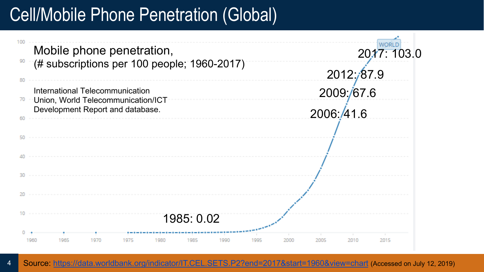## Cell/Mobile Phone Penetration (Global)

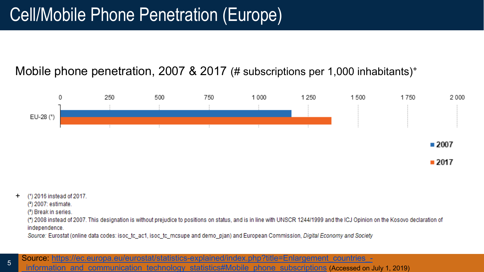#### Mobile phone penetration, 2007 & 2017 (# subscriptions per 1,000 inhabitants)<sup>+</sup>



 $-2017$ 

- + 2016 instead of 2017.
	- (2) 2007: estimate.
	- (3) Break in series.

(\*) 2008 instead of 2007. This designation is without prejudice to positions on status, and is in line with UNSCR 1244/1999 and the ICJ Opinion on the Kosovo declaration of independence.

Source: Eurostat (online data codes: isoc tc ac1, isoc tc mcsupe and demo pjan) and European Commission, Digital Economy and Society

5 Source: https://ec.europa.eu/eurostat/statistics-explained/index.php?title=Enlargement\_countries\_-

\_information\_and\_communication\_technology\_statistics#Mobile\_phone\_subscriptions (Accessed on July 1, 2019)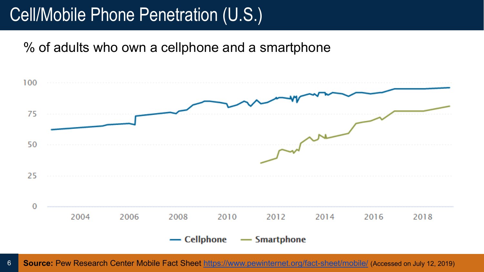### Cell/Mobile Phone Penetration (U.S.)

% of adults who own a cellphone and a smartphone



6 **Source:** Pew Research Center Mobile Fact Sheet https://www.pewinternet.org/fact-sheet/mobile/ (Accessed on July 12, 2019)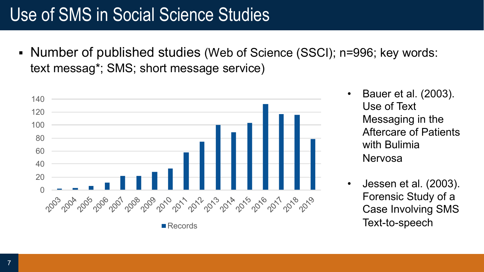# Use of SMS in Social Science Studies

• Number of published studies (Web of Science (SSCI); n=996; key words: text messag\*; SMS; short message service)



- Bauer et al. (2003). Use of Text Messaging in the Aftercare of Patients with Bulimia Nervosa
- Jessen et al. (2003). Forensic Study of a Case Involving SMS Text-to-speech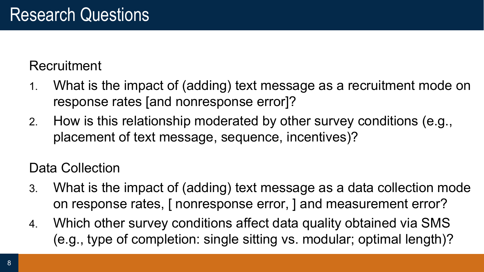#### **Recruitment**

- 1. What is the impact of (adding) text message as a recruitment mode on response rates [and nonresponse error]?
- 2. How is this relationship moderated by other survey conditions (e.g., placement of text message, sequence, incentives)?

#### Data Collection

- 3. What is the impact of (adding) text message as a data collection mode on response rates, [ nonresponse error, ] and measurement error?
- 4. Which other survey conditions affect data quality obtained via SMS (e.g., type of completion: single sitting vs. modular; optimal length)?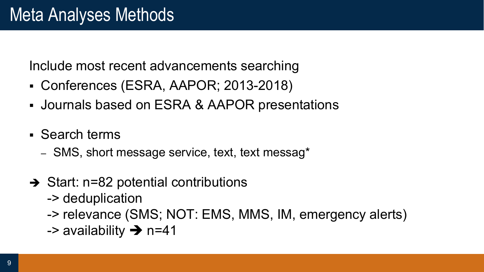Include most recent advancements searching

- § Conferences (ESRA, AAPOR; 2013-2018)
- § Journals based on ESRA & AAPOR presentations
- § Search terms
	- SMS, short message service, text, text messag\*
- $\rightarrow$  Start: n=82 potential contributions
	- -> deduplication
	- -> relevance (SMS; NOT: EMS, MMS, IM, emergency alerts)
	- -> availability  $\rightarrow$  n=41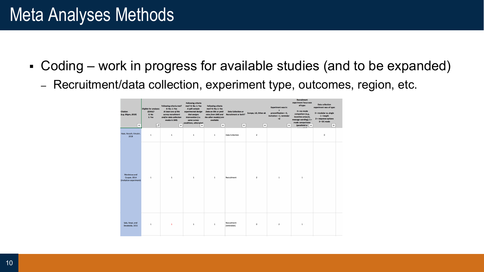### Meta Analyses Methods

- Coding work in progress for available studies (and to be expanded)
	- Recruitment/data collection, experiment type, outcomes, region, etc.

| <b>Citation</b><br>(e.g. Bilgen, 2019)<br>$\blacktriangledown$ | <b>Eligible for analyses</b><br>(ESRA)?<br>$0:$ No<br>1: Yes<br>$\sqrt{r}$ | Following criteria met?<br>0: No; 1: Yes<br>At least one of the<br>survey recruitment<br>and/or data collection<br>modes is SMS.<br>$\mathbf{v}$ | <b>Following criteria</b><br>met? 0: No; 1: Yes<br>A split sample<br>experimental design<br>that assians<br>intervention (i.e.<br>same survey<br>conditions, otherwisel.<br>$\blacktriangledown$ | <b>Following criteria</b><br>met? 0: No; 1: Yes<br>Data on RRs or yield<br>rates from SMS and<br>the other mode(s) are<br>available<br>$\overline{\mathbf{v}}$ | <b>Data Collection or</b><br><b>Recruitment or both?</b><br>$\blacktriangledown$ | Europe, US, Other ak<br>$\overline{\mathbf{v}}$ | <b>Experiment was in:</b><br>$\bullet$<br>prenotification = 0,<br>Invitation = 1, reminder<br>$-2$<br>$\overline{\mathbf{v}}$ | <b>Recruitment</b><br>experiment focus was<br>of type:<br>$0 = no mode$<br>comparison (e.g.,<br>incentive amount,<br>message wording); 1 =<br>mode comparisons<br>(parallelel or $\  \nabla$ | <b>Data collection</b><br>experiment was of type:<br>$0 =$ modular vs. single<br>$1 = length$<br>$2 = response$ options<br>$3 = DC mode$<br>$\overline{\mathbf{v}}$ |  |
|----------------------------------------------------------------|----------------------------------------------------------------------------|--------------------------------------------------------------------------------------------------------------------------------------------------|--------------------------------------------------------------------------------------------------------------------------------------------------------------------------------------------------|----------------------------------------------------------------------------------------------------------------------------------------------------------------|----------------------------------------------------------------------------------|-------------------------------------------------|-------------------------------------------------------------------------------------------------------------------------------|----------------------------------------------------------------------------------------------------------------------------------------------------------------------------------------------|---------------------------------------------------------------------------------------------------------------------------------------------------------------------|--|
| Haas, Keusch, Kreuter,<br>2018                                 | $\mathbf 1$                                                                | $\,$ 1                                                                                                                                           | $\,$ 1 $\,$                                                                                                                                                                                      | $\mathbf 1$                                                                                                                                                    | <b>Data Collection</b>                                                           | $\mathbf 2$                                     |                                                                                                                               |                                                                                                                                                                                              | $\mathbf 0$                                                                                                                                                         |  |
| Mavletova and<br>Couper, 2014<br>(invitation experiment)       | $\mathbf{1}$                                                               | $\mathbf{1}$                                                                                                                                     | $\mathbf{1}$                                                                                                                                                                                     | $\mathbf{1}$                                                                                                                                                   | Recruitment                                                                      | $\overline{2}$                                  | $\mathbf{1}$                                                                                                                  | $\mathbf{1}$                                                                                                                                                                                 |                                                                                                                                                                     |  |
| Sala, Respi, and<br>Decataldo, 2015                            | $\mathbf{1}$                                                               | $\mathbf{1}$                                                                                                                                     | $\mathbf{1}$                                                                                                                                                                                     | $\overline{1}$                                                                                                                                                 | Recruitment<br>(reminders)                                                       | $\circ$                                         | $\overline{2}$                                                                                                                | $\mathbf{1}$                                                                                                                                                                                 |                                                                                                                                                                     |  |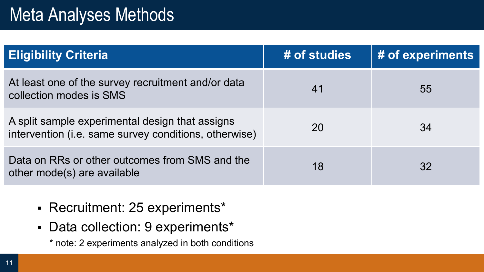## Meta Analyses Methods

| <b>Eligibility Criteria</b>                                                                              | # of studies | # of experiments |
|----------------------------------------------------------------------------------------------------------|--------------|------------------|
| At least one of the survey recruitment and/or data<br>collection modes is SMS                            | 41           | 55               |
| A split sample experimental design that assigns<br>intervention (i.e. same survey conditions, otherwise) | 20           | 34               |
| Data on RRs or other outcomes from SMS and the<br>other mode(s) are available                            | 18           | 32               |

- § Recruitment: 25 experiments\*
- § Data collection: 9 experiments\*
	- \* note: 2 experiments analyzed in both conditions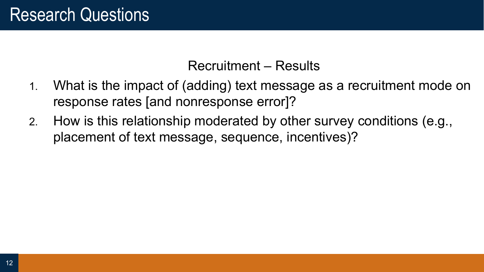Recruitment – Results

- 1. What is the impact of (adding) text message as a recruitment mode on response rates [and nonresponse error]?
- 2. How is this relationship moderated by other survey conditions (e.g., placement of text message, sequence, incentives)?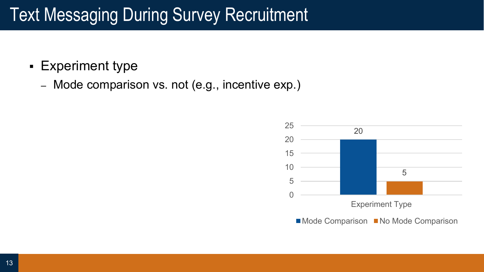- § Experiment type
	- Mode comparison vs. not (e.g., incentive exp.)

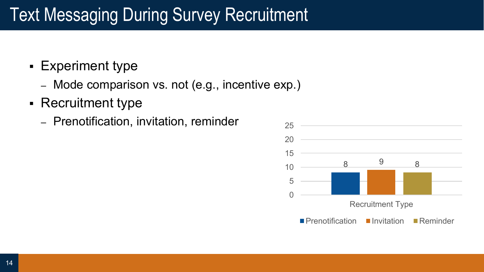- § Experiment type
	- Mode comparison vs. not (e.g., incentive exp.)
- § Recruitment type
	- Prenotification, invitation, reminder

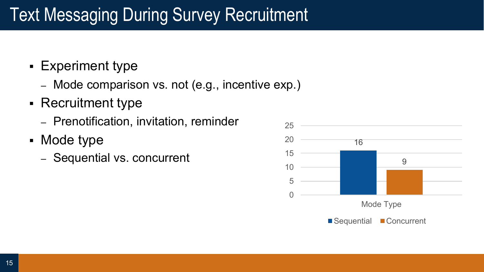- § Experiment type
	- Mode comparison vs. not (e.g., incentive exp.)
- Recruitment type
	- Prenotification, invitation, reminder
- Mode type
	- Sequential vs. concurrent

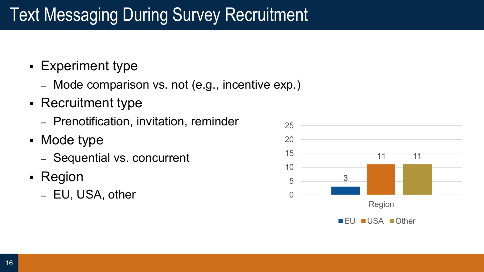- § Experiment type
	- Mode comparison vs. not (e.g., incentive exp.)
- Recruitment type
	- Prenotification, invitation, reminder
- Mode type
	- Sequential vs. concurrent
- Region
	- EU, USA, other

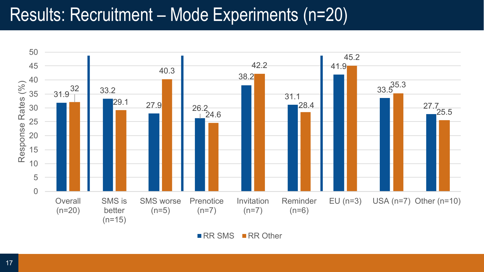### Results: Recruitment – Mode Experiments (n=20)



 $\blacksquare$  RR SMS  $\blacksquare$  RR Other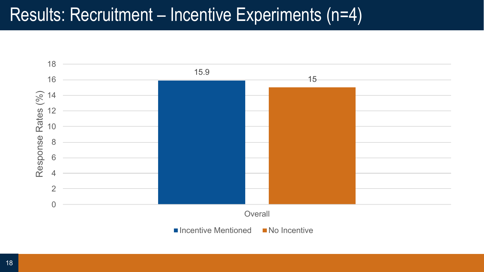### Results: Recruitment – Incentive Experiments (n=4)

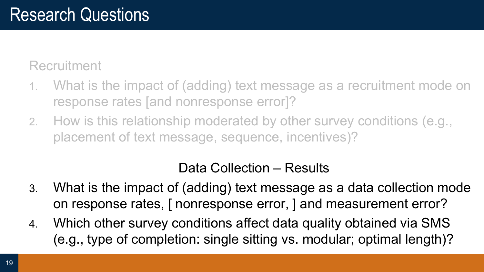Recruitment

- 1. What is the impact of (adding) text message as a recruitment mode on response rates [and nonresponse error]?
- 2. How is this relationship moderated by other survey conditions (e.g., placement of text message, sequence, incentives)?

#### Data Collection – Results

- 3. What is the impact of (adding) text message as a data collection mode on response rates, [ nonresponse error, ] and measurement error?
- 4. Which other survey conditions affect data quality obtained via SMS (e.g., type of completion: single sitting vs. modular; optimal length)?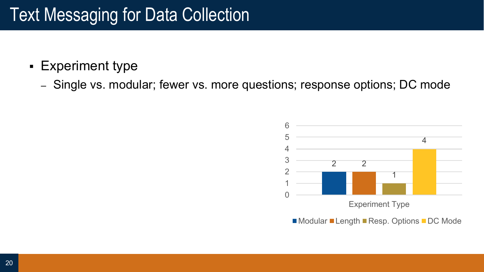#### § Experiment type

– Single vs. modular; fewer vs. more questions; response options; DC mode

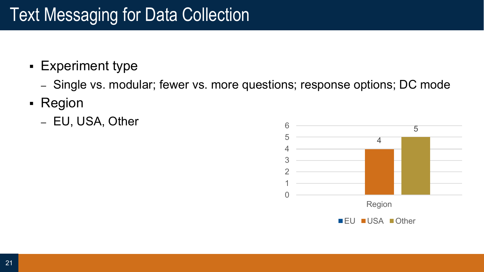- § Experiment type
	- Single vs. modular; fewer vs. more questions; response options; DC mode
- § Region
	- EU, USA, Other

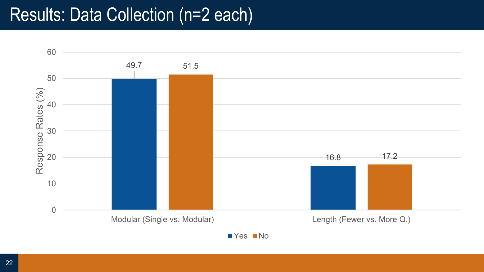### Results: Data Collection (n=2 each)



■ Yes ■ No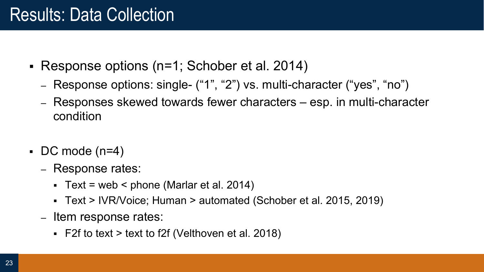### Results: Data Collection

- § Response options (n=1; Schober et al. 2014)
	- Response options: single- ("1", "2") vs. multi-character ("yes", "no")
	- Responses skewed towards fewer characters esp. in multi-character condition
- $\bullet$  DC mode (n=4)
	- Response rates:
		- Text = web < phone (Marlar et al. 2014)
		- § Text > IVR/Voice; Human > automated (Schober et al. 2015, 2019)
	- Item response rates:
		- $\blacktriangleright$  F2f to text > text to f2f (Velthoven et al. 2018)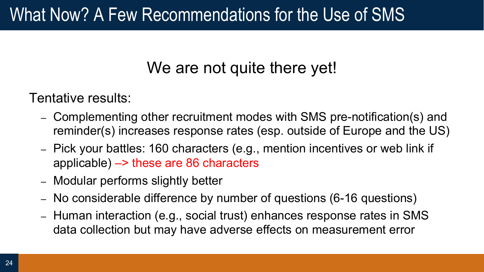### What Now? A Few Recommendations for the Use of SMS

#### We are not quite there yet!

Tentative results:

- Complementing other recruitment modes with SMS pre-notification(s) and reminder(s) increases response rates (esp. outside of Europe and the US)
- Pick your battles: 160 characters (e.g., mention incentives or web link if applicable) –> these are 86 characters
- Modular performs slightly better
- No considerable difference by number of questions (6-16 questions)
- Human interaction (e.g., social trust) enhances response rates in SMS data collection but may have adverse effects on measurement error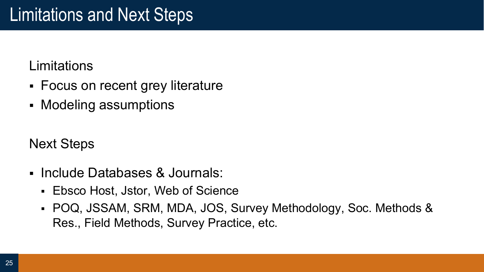#### Limitations

- Focus on recent grey literature
- § Modeling assumptions

Next Steps

- § Include Databases & Journals:
	- Ebsco Host, Jstor, Web of Science
	- § POQ, JSSAM, SRM, MDA, JOS, Survey Methodology, Soc. Methods & Res., Field Methods, Survey Practice, etc.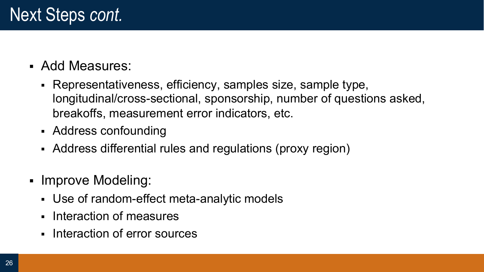- § Add Measures:
	- § Representativeness, efficiency, samples size, sample type, longitudinal/cross-sectional, sponsorship, number of questions asked, breakoffs, measurement error indicators, etc.
	- Address confounding
	- Address differential rules and regulations (proxy region)
- Improve Modeling:
	- § Use of random-effect meta-analytic models
	- Interaction of measures
	- Interaction of error sources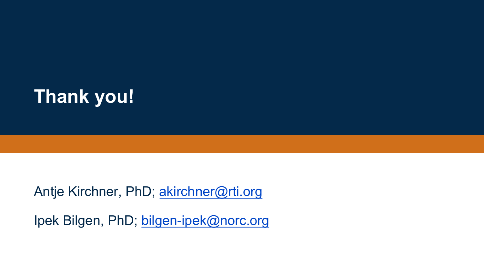

Antje Kirchner, PhD; akirchner@rti.org

Ipek Bilgen, PhD; bilgen-ipek@norc.org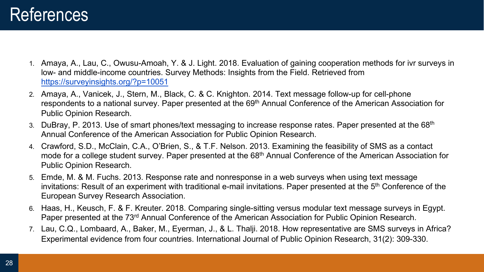- 1. Amaya, A., Lau, C., Owusu-Amoah, Y. & J. Light. 2018. Evaluation of gaining cooperation methods for ivr surveys in low- and middle-income countries. Survey Methods: Insights from the Field. Retrieved from https://surveyinsights.org/?p=10051
- 2. Amaya, A., Vanicek, J., Stern, M., Black, C. & C. Knighton. 2014. Text message follow-up for cell-phone respondents to a national survey. Paper presented at the 69<sup>th</sup> Annual Conference of the American Association for Public Opinion Research.
- 3. DuBray, P. 2013. Use of smart phones/text messaging to increase response rates. Paper presented at the 68<sup>th</sup> Annual Conference of the American Association for Public Opinion Research.
- 4. Crawford, S.D., McClain, C.A., O'Brien, S., & T.F. Nelson. 2013. Examining the feasibility of SMS as a contact mode for a college student survey. Paper presented at the 68<sup>th</sup> Annual Conference of the American Association for Public Opinion Research.
- 5. Emde, M. & M. Fuchs. 2013. Response rate and nonresponse in a web surveys when using text message invitations: Result of an experiment with traditional e-mail invitations. Paper presented at the 5<sup>th</sup> Conference of the European Survey Research Association.
- 6. Haas, H., Keusch, F. & F. Kreuter. 2018. Comparing single-sitting versus modular text message surveys in Egypt. Paper presented at the 73rd Annual Conference of the American Association for Public Opinion Research.
- 7. Lau, C.Q., Lombaard, A., Baker, M., Eyerman, J., & L. Thalji. 2018. How representative are SMS surveys in Africa? Experimental evidence from four countries. International Journal of Public Opinion Research, 31(2): 309-330.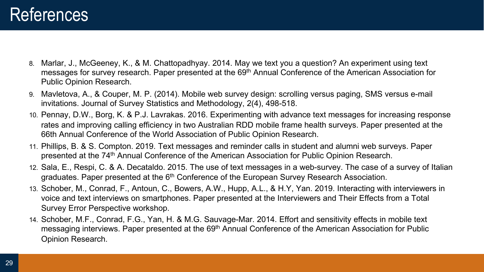- 8. Marlar, J., McGeeney, K., & M. Chattopadhyay. 2014. May we text you a question? An experiment using text messages for survey research. Paper presented at the 69<sup>th</sup> Annual Conference of the American Association for Public Opinion Research.
- 9. Mavletova, A., & Couper, M. P. (2014). Mobile web survey design: scrolling versus paging, SMS versus e-mail invitations. Journal of Survey Statistics and Methodology, 2(4), 498-518.
- 10. Pennay, D.W., Borg, K. & P.J. Lavrakas. 2016. Experimenting with advance text messages for increasing response rates and improving calling efficiency in two Australian RDD mobile frame health surveys. Paper presented at the 66th Annual Conference of the World Association of Public Opinion Research.
- 11. Phillips, B. & S. Compton. 2019. Text messages and reminder calls in student and alumni web surveys. Paper presented at the 74<sup>th</sup> Annual Conference of the American Association for Public Opinion Research.
- 12. Sala, E., Respi, C. & A. Decataldo. 2015. The use of text messages in a web-survey. The case of a survey of Italian graduates. Paper presented at the 6<sup>th</sup> Conference of the European Survey Research Association.
- 13. Schober, M., Conrad, F., Antoun, C., Bowers, A.W., Hupp, A.L., & H.Y, Yan. 2019. Interacting with interviewers in voice and text interviews on smartphones. Paper presented at the Interviewers and Their Effects from a Total Survey Error Perspective workshop.
- 14. Schober, M.F., Conrad, F.G., Yan, H. & M.G. Sauvage-Mar. 2014. Effort and sensitivity effects in mobile text messaging interviews. Paper presented at the 69<sup>th</sup> Annual Conference of the American Association for Public Opinion Research.